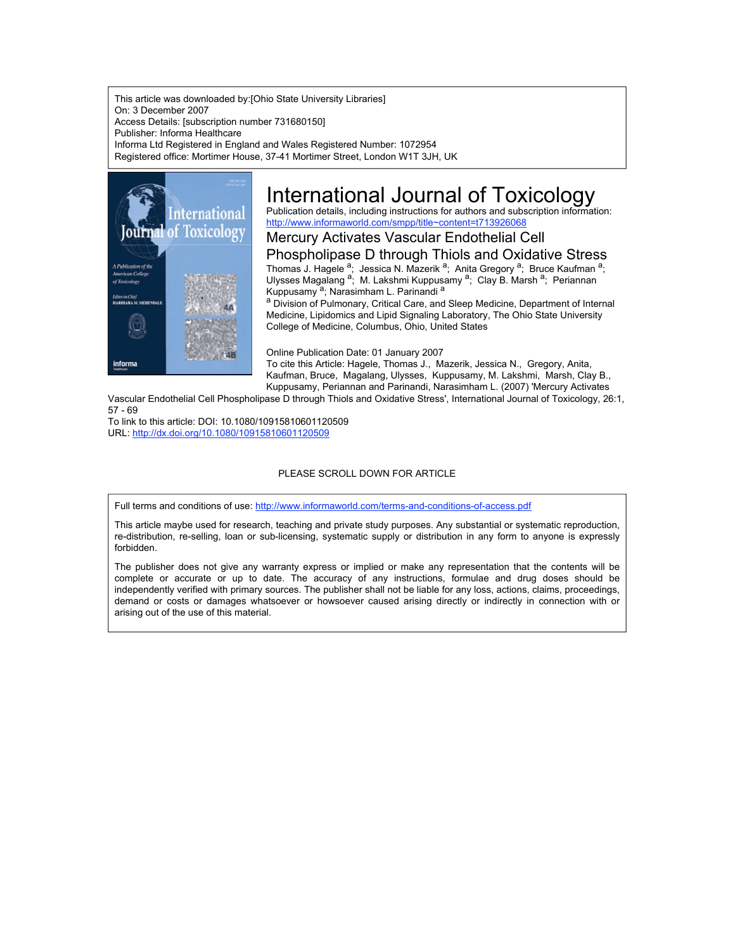This article was downloaded by:[Ohio State University Libraries] On: 3 December 2007 Access Details: [subscription number 731680150] Publisher: Informa Healthcare Informa Ltd Registered in England and Wales Registered Number: 1072954 Registered office: Mortimer House, 37-41 Mortimer Street, London W1T 3JH, UK



# International Journal of Toxicology

Publication details, including instructions for authors and subscription information: <http://www.informaworld.com/smpp/title~content=t713926068>

Mercury Activates Vascular Endothelial Cell

Phospholipase D through Thiols and Oxidative Stress

Thomas J. Hagele <sup>a</sup>; Jessica N. Mazerik <sup>a</sup>; Anita Gregory <sup>a</sup>; Bruce Kaufman <sup>a</sup>; Ulysses Magalang <sup>a</sup>; M. Lakshmi Kuppusamy <sup>a</sup>; Clay B. Marsh <sup>a</sup>; Periannan Kuppusamy a; Narasimham L. Parinandi <sup>a</sup>

a Division of Pulmonary, Critical Care, and Sleep Medicine, Department of Internal Medicine, Lipidomics and Lipid Signaling Laboratory, The Ohio State University College of Medicine, Columbus, Ohio, United States

Online Publication Date: 01 January 2007

To cite this Article: Hagele, Thomas J., Mazerik, Jessica N., Gregory, Anita, Kaufman, Bruce, Magalang, Ulysses, Kuppusamy, M. Lakshmi, Marsh, Clay B., Kuppusamy, Periannan and Parinandi, Narasimham L. (2007) 'Mercury Activates

Vascular Endothelial Cell Phospholipase D through Thiols and Oxidative Stress', International Journal of Toxicology, 26:1, 57 - 69

To link to this article: DOI: 10.1080/10915810601120509 URL: <http://dx.doi.org/10.1080/10915810601120509>

#### PLEASE SCROLL DOWN FOR ARTICLE

Full terms and conditions of use: <http://www.informaworld.com/terms-and-conditions-of-access.pdf>

This article maybe used for research, teaching and private study purposes. Any substantial or systematic reproduction, re-distribution, re-selling, loan or sub-licensing, systematic supply or distribution in any form to anyone is expressly forbidden.

The publisher does not give any warranty express or implied or make any representation that the contents will be complete or accurate or up to date. The accuracy of any instructions, formulae and drug doses should be independently verified with primary sources. The publisher shall not be liable for any loss, actions, claims, proceedings, demand or costs or damages whatsoever or howsoever caused arising directly or indirectly in connection with or arising out of the use of this material.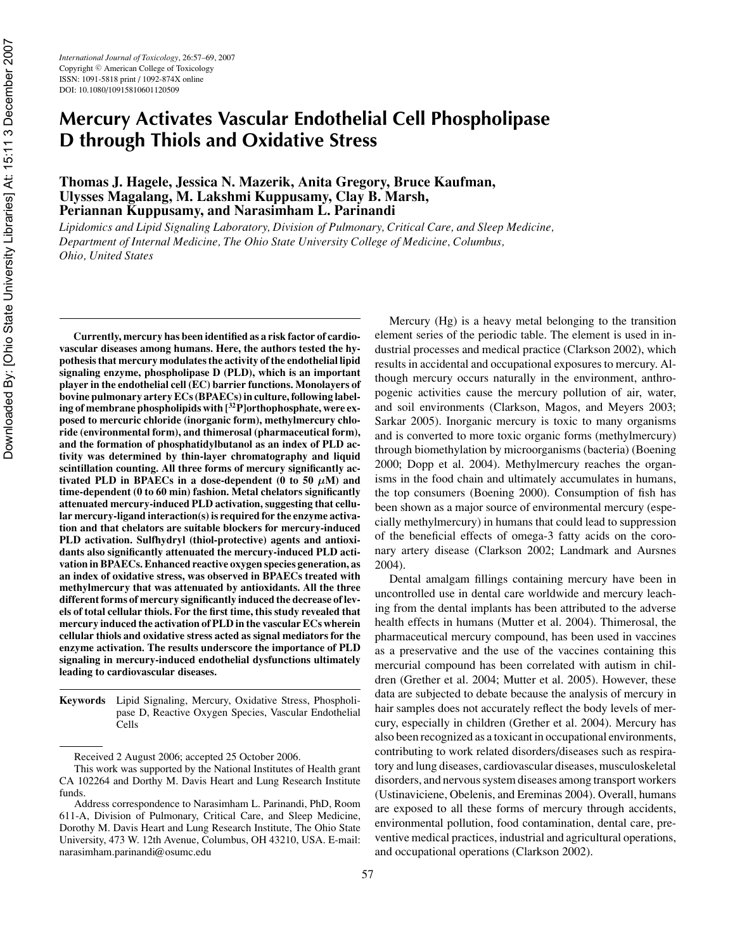*International Journal of Toxicology*, 26:57–69, 2007 Copyright © American College of Toxicology ISSN: 1091-5818 print / 1092-874X online DOI: 10.1080/10915810601120509

## **Mercury Activates Vascular Endothelial Cell Phospholipase D through Thiols and Oxidative Stress**

**Thomas J. Hagele, Jessica N. Mazerik, Anita Gregory, Bruce Kaufman, Ulysses Magalang, M. Lakshmi Kuppusamy, Clay B. Marsh, Periannan Kuppusamy, and Narasimham L. Parinandi**

*Lipidomics and Lipid Signaling Laboratory, Division of Pulmonary, Critical Care, and Sleep Medicine, Department of Internal Medicine, The Ohio State University College of Medicine, Columbus, Ohio, United States*

**Currently, mercury has been identified as a risk factor of cardiovascular diseases among humans. Here, the authors tested the hypothesisthat mercury modulatesthe activity ofthe endothelial lipid signaling enzyme, phospholipase D (PLD), which is an important player in the endothelial cell (EC) barrier functions. Monolayers of bovine pulmonary arteryECs(BPAECs)in culture,following labeling of membrane phospholipids with [ 32P]orthophosphate, were exposed to mercuric chloride (inorganic form), methylmercury chloride (environmental form), and thimerosal (pharmaceutical form), and the formation of phosphatidylbutanol as an index of PLD activity was determined by thin-layer chromatography and liquid scintillation counting. All three forms of mercury significantly activated** PLD in BPAECs in a dose-dependent  $(0 \text{ to } 50 \mu M)$  and **time-dependent (0 to 60 min) fashion. Metal chelators significantly attenuated mercury-induced PLD activation,suggesting that cellular mercury-ligand interaction(s) is required for the enzyme activation and that chelators are suitable blockers for mercury-induced PLD activation. Sulfhydryl (thiol-protective) agents and antioxidants also significantly attenuated the mercury-induced PLD activation inBPAECs.Enhanced reactive oxygen species generation, as an index of oxidative stress, was observed in BPAECs treated with methylmercury that was attenuated by antioxidants. All the three** different forms of mercury significantly induced the decrease of lev**els of total cellular thiols. For the first time, this study revealed that mercury induced the activation of PLD in the vascularECs wherein cellular thiols and oxidative stress acted as signal mediators for the enzyme activation. The results underscore the importance of PLD signaling in mercury-induced endothelial dysfunctions ultimately leading to cardiovascular diseases.**

Mercury (Hg) is a heavy metal belonging to the transition element series of the periodic table. The element is used in industrial processes and medical practice (Clarkson 2002), which results in accidental and occupational exposures to mercury. Although mercury occurs naturally in the environment, anthropogenic activities cause the mercury pollution of air, water, and soil environments (Clarkson, Magos, and Meyers 2003; Sarkar 2005). Inorganic mercury is toxic to many organisms and is converted to more toxic organic forms (methylmercury) through biomethylation by microorganisms (bacteria) (Boening 2000; Dopp et al. 2004). Methylmercury reaches the organisms in the food chain and ultimately accumulates in humans, the top consumers (Boening 2000). Consumption of fish has been shown as a major source of environmental mercury (especially methylmercury) in humans that could lead to suppression of the beneficial effects of omega-3 fatty acids on the coronary artery disease (Clarkson 2002; Landmark and Aursnes 2004).

Dental amalgam fillings containing mercury have been in uncontrolled use in dental care worldwide and mercury leaching from the dental implants has been attributed to the adverse health effects in humans (Mutter et al. 2004). Thimerosal, the pharmaceutical mercury compound, has been used in vaccines as a preservative and the use of the vaccines containing this mercurial compound has been correlated with autism in children (Grether et al. 2004; Mutter et al. 2005). However, these data are subjected to debate because the analysis of mercury in hair samples does not accurately reflect the body levels of mercury, especially in children (Grether et al. 2004). Mercury has also been recognized as a toxicant in occupational environments, contributing to work related disorders/diseases such as respiratory and lung diseases, cardiovascular diseases, musculoskeletal disorders, and nervous system diseases among transport workers (Ustinaviciene, Obelenis, and Ereminas 2004). Overall, humans are exposed to all these forms of mercury through accidents, environmental pollution, food contamination, dental care, preventive medical practices, industrial and agricultural operations, and occupational operations (Clarkson 2002).

**Keywords** Lipid Signaling, Mercury, Oxidative Stress, Phospholipase D, Reactive Oxygen Species, Vascular Endothelial Cells

Received 2 August 2006; accepted 25 October 2006.

This work was supported by the National Institutes of Health grant CA 102264 and Dorthy M. Davis Heart and Lung Research Institute funds.

Address correspondence to Narasimham L. Parinandi, PhD, Room 611-A, Division of Pulmonary, Critical Care, and Sleep Medicine, Dorothy M. Davis Heart and Lung Research Institute, The Ohio State University, 473 W. 12th Avenue, Columbus, OH 43210, USA. E-mail: narasimham.parinandi@osumc.edu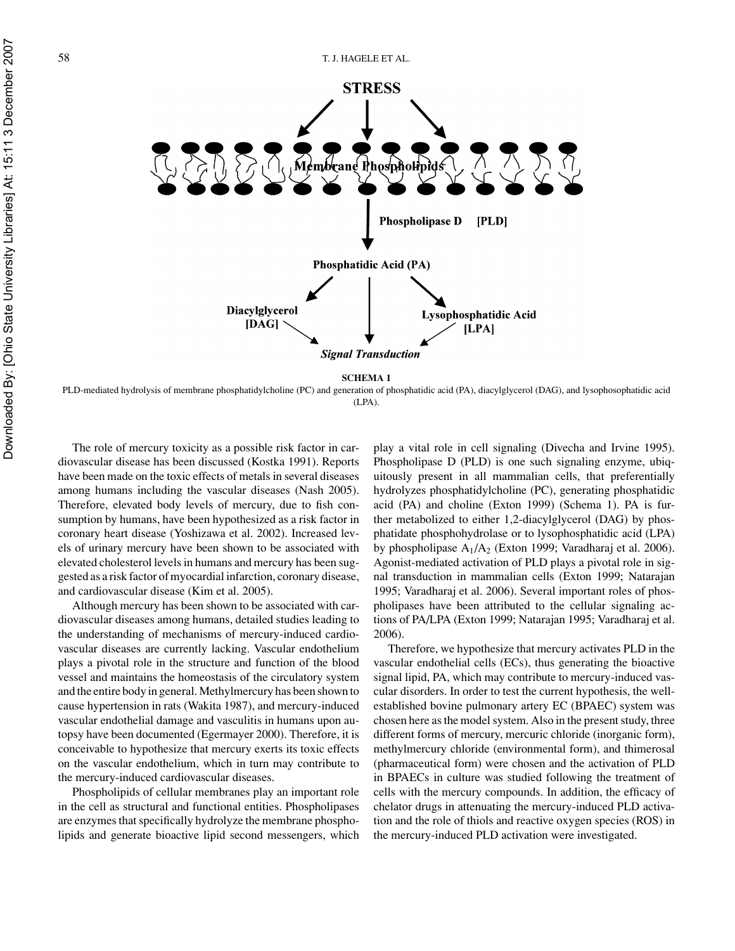**Downloaded** 

Downloaded By: [Ohio State University Libraries] At: 15:11 3 December 2007 State University Libraries]

At: 15:11 3 December 2007



PLD-mediated hydrolysis of membrane phosphatidylcholine (PC) and generation of phosphatidic acid (PA), diacylglycerol (DAG), and lysophosophatidic acid (LPA).

The role of mercury toxicity as a possible risk factor in cardiovascular disease has been discussed (Kostka 1991). Reports have been made on the toxic effects of metals in several diseases among humans including the vascular diseases (Nash 2005). Therefore, elevated body levels of mercury, due to fish consumption by humans, have been hypothesized as a risk factor in coronary heart disease (Yoshizawa et al. 2002). Increased levels of urinary mercury have been shown to be associated with elevated cholesterol levelsin humans and mercury has been suggested as a risk factor of myocardial infarction, coronary disease, and cardiovascular disease (Kim et al. 2005).

Although mercury has been shown to be associated with cardiovascular diseases among humans, detailed studies leading to the understanding of mechanisms of mercury-induced cardiovascular diseases are currently lacking. Vascular endothelium plays a pivotal role in the structure and function of the blood vessel and maintains the homeostasis of the circulatory system and the entire body in general. Methylmercury has been shown to cause hypertension in rats (Wakita 1987), and mercury-induced vascular endothelial damage and vasculitis in humans upon autopsy have been documented (Egermayer 2000). Therefore, it is conceivable to hypothesize that mercury exerts its toxic effects on the vascular endothelium, which in turn may contribute to the mercury-induced cardiovascular diseases.

Phospholipids of cellular membranes play an important role in the cell as structural and functional entities. Phospholipases are enzymes that specifically hydrolyze the membrane phospholipids and generate bioactive lipid second messengers, which

play a vital role in cell signaling (Divecha and Irvine 1995). Phospholipase D (PLD) is one such signaling enzyme, ubiquitously present in all mammalian cells, that preferentially hydrolyzes phosphatidylcholine (PC), generating phosphatidic acid (PA) and choline (Exton 1999) (Schema 1). PA is further metabolized to either 1,2-diacylglycerol (DAG) by phosphatidate phosphohydrolase or to lysophosphatidic acid (LPA) by phospholipase  $A_1/A_2$  (Exton 1999; Varadharaj et al. 2006). Agonist-mediated activation of PLD plays a pivotal role in signal transduction in mammalian cells (Exton 1999; Natarajan 1995; Varadharaj et al. 2006). Several important roles of phospholipases have been attributed to the cellular signaling actions of PA/LPA (Exton 1999; Natarajan 1995; Varadharaj et al. 2006).

Therefore, we hypothesize that mercury activates PLD in the vascular endothelial cells (ECs), thus generating the bioactive signal lipid, PA, which may contribute to mercury-induced vascular disorders. In order to test the current hypothesis, the wellestablished bovine pulmonary artery EC (BPAEC) system was chosen here as the model system. Also in the present study, three different forms of mercury, mercuric chloride (inorganic form), methylmercury chloride (environmental form), and thimerosal (pharmaceutical form) were chosen and the activation of PLD in BPAECs in culture was studied following the treatment of cells with the mercury compounds. In addition, the efficacy of chelator drugs in attenuating the mercury-induced PLD activation and the role of thiols and reactive oxygen species (ROS) in the mercury-induced PLD activation were investigated.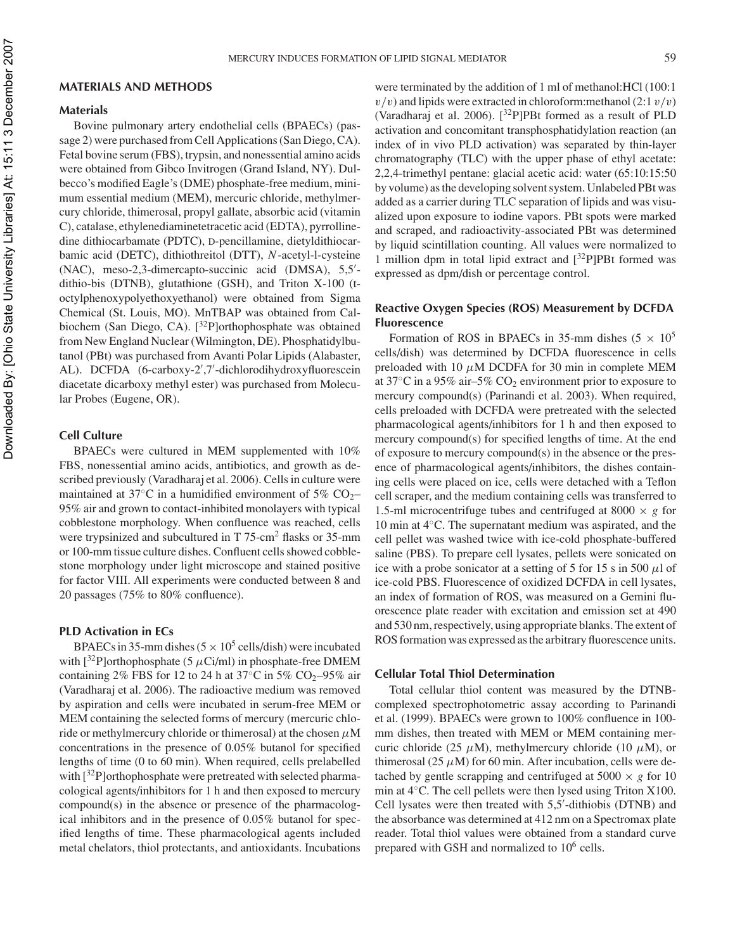#### **MATERIALS AND METHODS**

#### **Materials**

Bovine pulmonary artery endothelial cells (BPAECs) (passage 2) were purchased from Cell Applications (San Diego, CA). Fetal bovine serum (FBS), trypsin, and nonessential amino acids were obtained from Gibco Invitrogen (Grand Island, NY). Dulbecco's modified Eagle's (DME) phosphate-free medium, minimum essential medium (MEM), mercuric chloride, methylmercury chloride, thimerosal, propyl gallate, absorbic acid (vitamin C), catalase, ethylenediaminetetracetic acid (EDTA), pyrrollinedine dithiocarbamate (PDTC), D-pencillamine, dietyldithiocarbamic acid (DETC), dithiothreitol (DTT), *N*-acetyl-l-cysteine (NAC), meso-2,3-dimercapto-succinic acid (DMSA), 5,5" dithio-bis (DTNB), glutathione (GSH), and Triton X-100 (toctylphenoxypolyethoxyethanol) were obtained from Sigma Chemical (St. Louis, MO). MnTBAP was obtained from Calbiochem (San Diego, CA). [<sup>32</sup>P]orthophosphate was obtained from New England Nuclear (Wilmington, DE). Phosphatidylbutanol (PBt) was purchased from Avanti Polar Lipids (Alabaster, AL). DCFDA (6-carboxy-2" ,7" -dichlorodihydroxyfluorescein diacetate dicarboxy methyl ester) was purchased from Molecular Probes (Eugene, OR).

#### **Cell Culture**

BPAECs were cultured in MEM supplemented with 10% FBS, nonessential amino acids, antibiotics, and growth as described previously (Varadharaj et al. 2006). Cells in culture were maintained at 37 $\degree$ C in a humidified environment of 5% CO<sub>2</sub>– 95% air and grown to contact-inhibited monolayers with typical cobblestone morphology. When confluence was reached, cells were trypsinized and subcultured in T 75-cm<sup>2</sup> flasks or 35-mm or 100-mm tissue culture dishes. Confluent cells showed cobblestone morphology under light microscope and stained positive for factor VIII. All experiments were conducted between 8 and 20 passages (75% to 80% confluence).

#### **PLD Activation in ECs**

BPAECs in 35-mm dishes ( $5 \times 10^5$  cells/dish) were incubated with  $[^{32}P]$ orthophosphate (5  $\mu$ Ci/ml) in phosphate-free DMEM containing 2% FBS for 12 to 24 h at 37°C in 5%  $CO<sub>2</sub>$ –95% air (Varadharaj et al. 2006). The radioactive medium was removed by aspiration and cells were incubated in serum-free MEM or MEM containing the selected forms of mercury (mercuric chloride or methylmercury chloride or thimerosal) at the chosen  $\mu$ M concentrations in the presence of 0.05% butanol for specified lengths of time (0 to 60 min). When required, cells prelabelled with [32P]orthophosphate were pretreated with selected pharmacological agents/inhibitors for 1 h and then exposed to mercury compound(s) in the absence or presence of the pharmacological inhibitors and in the presence of 0.05% butanol for specified lengths of time. These pharmacological agents included metal chelators, thiol protectants, and antioxidants. Incubations were terminated by the addition of 1 ml of methanol:HCl (100:1  $v/v$ ) and lipids were extracted in chloroform: methanol (2:1  $v/v$ ) (Varadharaj et al. 2006). [ 32P]PBt formed as a result of PLD activation and concomitant transphosphatidylation reaction (an index of in vivo PLD activation) was separated by thin-layer chromatography (TLC) with the upper phase of ethyl acetate: 2,2,4-trimethyl pentane: glacial acetic acid: water (65:10:15:50 by volume) as the developing solvent system. Unlabeled PBt was added as a carrier during TLC separation of lipids and was visualized upon exposure to iodine vapors. PBt spots were marked and scraped, and radioactivity-associated PBt was determined by liquid scintillation counting. All values were normalized to 1 million dpm in total lipid extract and  $[^{32}P]$ PBt formed was expressed as dpm/dish or percentage control.

#### **Reactive Oxygen Species (ROS) Measurement by DCFDA Fluorescence**

Formation of ROS in BPAECs in 35-mm dishes  $(5 \times 10^5$ cells/dish) was determined by DCFDA fluorescence in cells preloaded with 10  $\mu$ M DCDFA for 30 min in complete MEM at 37 $\degree$ C in a 95% air–5% CO<sub>2</sub> environment prior to exposure to mercury compound(s) (Parinandi et al. 2003). When required, cells preloaded with DCFDA were pretreated with the selected pharmacological agents/inhibitors for 1 h and then exposed to mercury compound(s) for specified lengths of time. At the end of exposure to mercury compound(s) in the absence or the presence of pharmacological agents/inhibitors, the dishes containing cells were placed on ice, cells were detached with a Teflon cell scraper, and the medium containing cells was transferred to 1.5-ml microcentrifuge tubes and centrifuged at 8000  $\times$  *g* for 10 min at 4◦C. The supernatant medium was aspirated, and the cell pellet was washed twice with ice-cold phosphate-buffered saline (PBS). To prepare cell lysates, pellets were sonicated on ice with a probe sonicator at a setting of 5 for 15 s in 500  $\mu$ l of ice-cold PBS. Fluorescence of oxidized DCFDA in cell lysates, an index of formation of ROS, was measured on a Gemini fluorescence plate reader with excitation and emission set at 490 and 530 nm, respectively, using appropriate blanks. The extent of ROS formation was expressed asthe arbitrary fluorescence units.

#### **Cellular Total Thiol Determination**

Total cellular thiol content was measured by the DTNBcomplexed spectrophotometric assay according to Parinandi et al. (1999). BPAECs were grown to 100% confluence in 100 mm dishes, then treated with MEM or MEM containing mercuric chloride (25  $\mu$ M), methylmercury chloride (10  $\mu$ M), or thimerosal (25  $\mu$ M) for 60 min. After incubation, cells were detached by gentle scrapping and centrifuged at  $5000 \times g$  for 10 min at 4◦C. The cell pellets were then lysed using Triton X100. Cell lysates were then treated with 5,5" -dithiobis (DTNB) and the absorbance was determined at 412 nm on a Spectromax plate reader. Total thiol values were obtained from a standard curve prepared with GSH and normalized to 10<sup>6</sup> cells.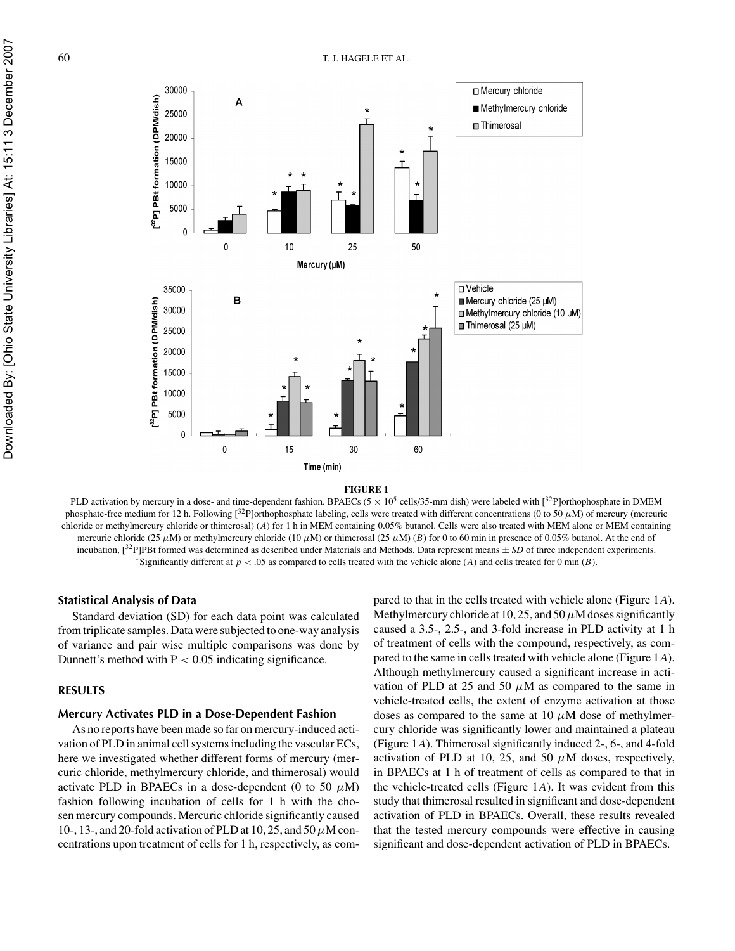

#### **FIGURE 1**

PLD activation by mercury in a dose- and time-dependent fashion. BPAECs ( $5 \times 10^5$  cells/35-mm dish) were labeled with  $[^{32}P]$ orthophosphate in DMEM phosphate-free medium for 12 h. Following  $[32P]$ orthophosphate labeling, cells were treated with different concentrations (0 to 50  $\mu$ M) of mercury (mercuric chloride or methylmercury chloride or thimerosal) (*A*) for 1 h in MEM containing 0.05% butanol. Cells were also treated with MEM alone or MEM containing mercuric chloride (25  $\mu$ M) or methylmercury chloride (10  $\mu$ M) or thimerosal (25  $\mu$ M) (*B*) for 0 to 60 min in presence of 0.05% butanol. At the end of incubation,  $[^{32}P]$ PBt formed was determined as described under Materials and Methods. Data represent means  $\pm SD$  of three independent experiments. ∗Significantly different at *p* < .05 as compared to cells treated with the vehicle alone (*A*) and cells treated for 0 min (*B*).

## **Statistical Analysis of Data**

Standard deviation (SD) for each data point was calculated fromtriplicate samples. Data were subjected to one-way analysis of variance and pair wise multiple comparisons was done by Dunnett's method with  $P < 0.05$  indicating significance.

#### **RESULTS**

#### **Mercury Activates PLD in a Dose-Dependent Fashion**

As no reports have been made so far on mercury-induced activation of PLD in animal cell systems including the vascular ECs, here we investigated whether different forms of mercury (mercuric chloride, methylmercury chloride, and thimerosal) would activate PLD in BPAECs in a dose-dependent (0 to 50  $\mu$ M) fashion following incubation of cells for 1 h with the chosen mercury compounds. Mercuric chloride significantly caused 10-, 13-, and 20-fold activation of PLD at 10, 25, and 50  $\mu$ M concentrations upon treatment of cells for 1 h, respectively, as com-

pared to that in the cells treated with vehicle alone (Figure 1*A*). Methylmercury chloride at 10, 25, and 50  $\mu$ M doses significantly caused a 3.5-, 2.5-, and 3-fold increase in PLD activity at 1 h of treatment of cells with the compound, respectively, as compared to the same in cells treated with vehicle alone (Figure 1A). Although methylmercury caused a significant increase in activation of PLD at 25 and 50  $\mu$ M as compared to the same in vehicle-treated cells, the extent of enzyme activation at those doses as compared to the same at 10  $\mu$ M dose of methylmercury chloride was significantly lower and maintained a plateau (Figure 1*A*). Thimerosal significantly induced 2-, 6-, and 4-fold activation of PLD at 10, 25, and 50  $\mu$ M doses, respectively, in BPAECs at 1 h of treatment of cells as compared to that in the vehicle-treated cells (Figure 1*A*). It was evident from this study that thimerosal resulted in significant and dose-dependent activation of PLD in BPAECs. Overall, these results revealed that the tested mercury compounds were effective in causing significant and dose-dependent activation of PLD in BPAECs.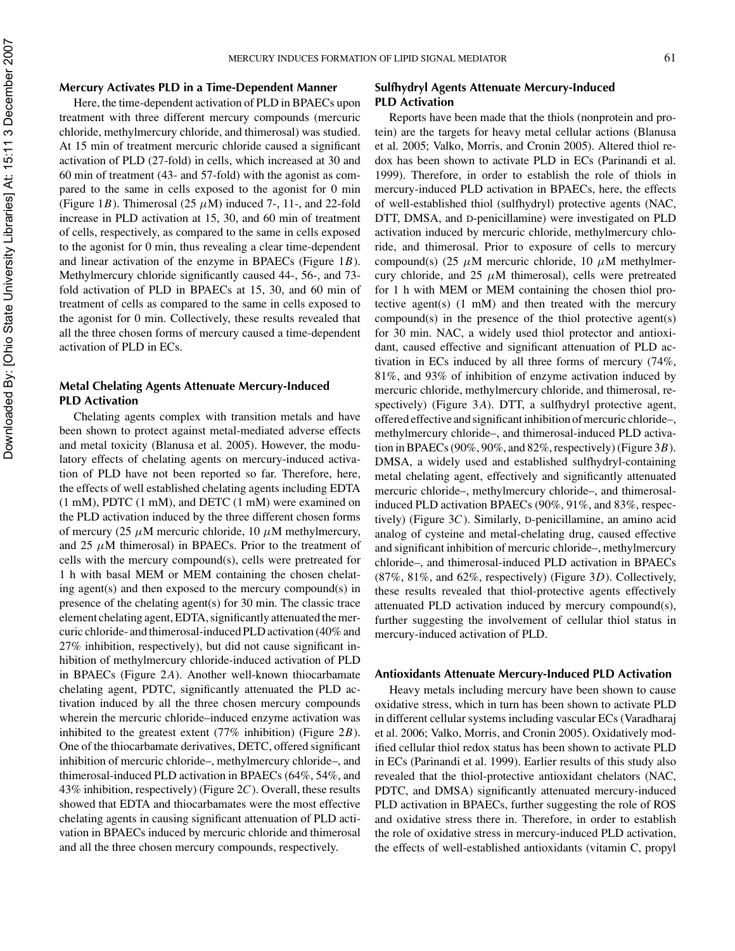#### **Mercury Activates PLD in a Time-Dependent Manner**

Here, the time-dependent activation of PLD in BPAECs upon treatment with three different mercury compounds (mercuric chloride, methylmercury chloride, and thimerosal) was studied. At 15 min of treatment mercuric chloride caused a significant activation of PLD (27-fold) in cells, which increased at 30 and 60 min of treatment (43- and 57-fold) with the agonist as compared to the same in cells exposed to the agonist for 0 min (Figure 1*B*). Thimerosal (25  $\mu$ M) induced 7-, 11-, and 22-fold increase in PLD activation at 15, 30, and 60 min of treatment of cells, respectively, as compared to the same in cells exposed to the agonist for 0 min, thus revealing a clear time-dependent and linear activation of the enzyme in BPAECs (Figure 1*B*). Methylmercury chloride significantly caused 44-, 56-, and 73 fold activation of PLD in BPAECs at 15, 30, and 60 min of treatment of cells as compared to the same in cells exposed to the agonist for 0 min. Collectively, these results revealed that all the three chosen forms of mercury caused a time-dependent activation of PLD in ECs.

## **Metal Chelating Agents Attenuate Mercury-Induced PLD Activation**

Chelating agents complex with transition metals and have been shown to protect against metal-mediated adverse effects and metal toxicity (Blanusa et al. 2005). However, the modulatory effects of chelating agents on mercury-induced activation of PLD have not been reported so far. Therefore, here, the effects of well established chelating agents including EDTA (1 mM), PDTC (1 mM), and DETC (1 mM) were examined on the PLD activation induced by the three different chosen forms of mercury (25  $\mu$ M mercuric chloride, 10  $\mu$ M methylmercury, and 25  $\mu$ M thimerosal) in BPAECs. Prior to the treatment of cells with the mercury compound(s), cells were pretreated for 1 h with basal MEM or MEM containing the chosen chelating agent(s) and then exposed to the mercury compound(s) in presence of the chelating agent(s) for 30 min. The classic trace element chelating agent, EDTA, significantly attenuated the mercuric chloride- and thimerosal-induced PLD activation (40% and 27% inhibition, respectively), but did not cause significant inhibition of methylmercury chloride-induced activation of PLD in BPAECs (Figure 2*A*). Another well-known thiocarbamate chelating agent, PDTC, significantly attenuated the PLD activation induced by all the three chosen mercury compounds wherein the mercuric chloride–induced enzyme activation was inhibited to the greatest extent (77% inhibition) (Figure 2*B*). One of the thiocarbamate derivatives, DETC, offered significant inhibition of mercuric chloride–, methylmercury chloride–, and thimerosal-induced PLD activation in BPAECs (64%, 54%, and 43% inhibition, respectively) (Figure 2*C*). Overall, these results showed that EDTA and thiocarbamates were the most effective chelating agents in causing significant attenuation of PLD activation in BPAECs induced by mercuric chloride and thimerosal and all the three chosen mercury compounds, respectively.

### **Sulfhydryl Agents Attenuate Mercury-Induced PLD Activation**

Reports have been made that the thiols (nonprotein and protein) are the targets for heavy metal cellular actions (Blanusa et al. 2005; Valko, Morris, and Cronin 2005). Altered thiol redox has been shown to activate PLD in ECs (Parinandi et al. 1999). Therefore, in order to establish the role of thiols in mercury-induced PLD activation in BPAECs, here, the effects of well-established thiol (sulfhydryl) protective agents (NAC, DTT, DMSA, and D-penicillamine) were investigated on PLD activation induced by mercuric chloride, methylmercury chloride, and thimerosal. Prior to exposure of cells to mercury compound(s) (25  $\mu$ M mercuric chloride, 10  $\mu$ M methylmercury chloride, and 25  $\mu$ M thimerosal), cells were pretreated for 1 h with MEM or MEM containing the chosen thiol protective agent(s)  $(1 \text{ mM})$  and then treated with the mercury compound(s) in the presence of the thiol protective agent(s) for 30 min. NAC, a widely used thiol protector and antioxidant, caused effective and significant attenuation of PLD activation in ECs induced by all three forms of mercury (74%, 81%, and 93% of inhibition of enzyme activation induced by mercuric chloride, methylmercury chloride, and thimerosal, respectively) (Figure 3*A*). DTT, a sulfhydryl protective agent, offered effective and significant inhibition of mercuric chloride–, methylmercury chloride–, and thimerosal-induced PLD activation inBPAECs(90%, 90%, and 82%,respectively)(Figure 3*B*). DMSA, a widely used and established sulfhydryl-containing metal chelating agent, effectively and significantly attenuated mercuric chloride–, methylmercury chloride–, and thimerosalinduced PLD activation BPAECs (90%, 91%, and 83%, respectively) (Figure 3*C*). Similarly, D-penicillamine, an amino acid analog of cysteine and metal-chelating drug, caused effective and significant inhibition of mercuric chloride–, methylmercury chloride–, and thimerosal-induced PLD activation in BPAECs (87%, 81%, and 62%, respectively) (Figure 3*D*). Collectively, these results revealed that thiol-protective agents effectively attenuated PLD activation induced by mercury compound(s), further suggesting the involvement of cellular thiol status in mercury-induced activation of PLD.

#### **Antioxidants Attenuate Mercury-Induced PLD Activation**

Heavy metals including mercury have been shown to cause oxidative stress, which in turn has been shown to activate PLD in different cellular systems including vascular ECs (Varadharaj et al. 2006; Valko, Morris, and Cronin 2005). Oxidatively modified cellular thiol redox status has been shown to activate PLD in ECs (Parinandi et al. 1999). Earlier results of this study also revealed that the thiol-protective antioxidant chelators (NAC, PDTC, and DMSA) significantly attenuated mercury-induced PLD activation in BPAECs, further suggesting the role of ROS and oxidative stress there in. Therefore, in order to establish the role of oxidative stress in mercury-induced PLD activation, the effects of well-established antioxidants (vitamin C, propyl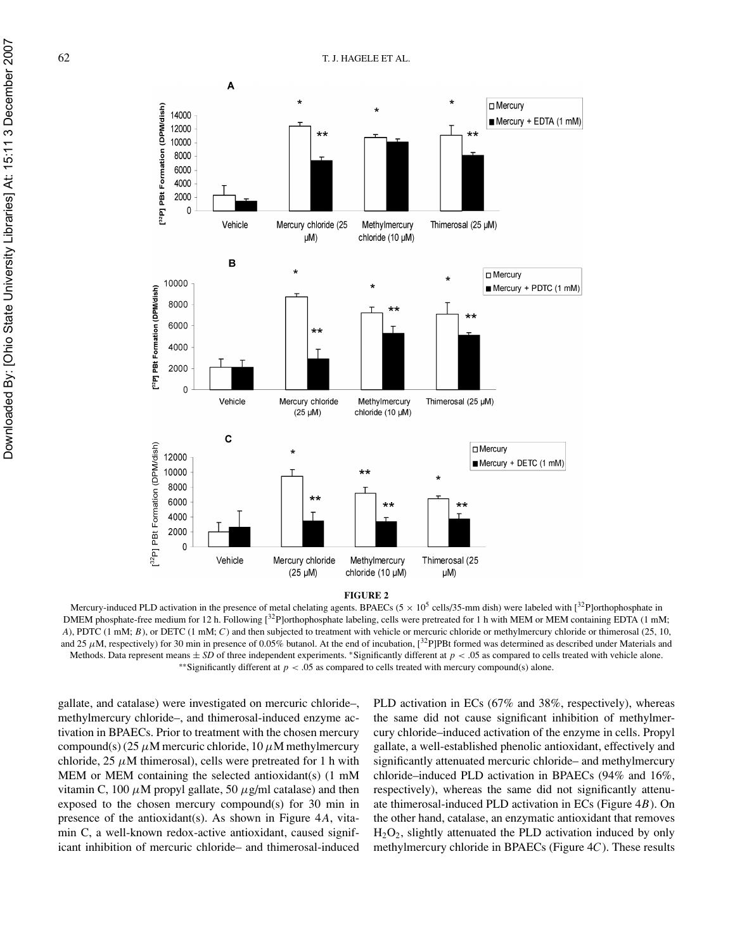**Downloaded** 

Downloaded By: [Ohio State University Libraries] At: 15:11 3 December 2007 State University Libraries]

At: 15:11 3 December 2007



**FIGURE 2**

Mercury-induced PLD activation in the presence of metal chelating agents. BPAECs ( $5 \times 10^5$  cells/35-mm dish) were labeled with  $[^{32}P]$ orthophosphate in DMEM phosphate-free medium for 12 h. Following [<sup>32</sup>P]orthophosphate labeling, cells were pretreated for 1 h with MEM or MEM containing EDTA (1 mM; *A*), PDTC (1 mM; *B*), or DETC (1 mM; *C*) and then subjected to treatment with vehicle or mercuric chloride or methylmercury chloride or thimerosal (25, 10, and 25  $\mu$ M, respectively) for 30 min in presence of 0.05% butanol. At the end of incubation,  $[^{32}P]PBt$  formed was determined as described under Materials and Methods. Data represent means  $\pm SD$  of three independent experiments. \*Significantly different at  $p < .05$  as compared to cells treated with vehicle alone. ∗∗Significantly different at *p* < .05 as compared to cells treated with mercury compound(s) alone.

gallate, and catalase) were investigated on mercuric chloride–, methylmercury chloride–, and thimerosal-induced enzyme activation in BPAECs. Prior to treatment with the chosen mercury compound(s) (25  $\mu$ M mercuric chloride, 10  $\mu$ M methylmercury chloride,  $25 \mu M$  thimerosal), cells were pretreated for 1 h with MEM or MEM containing the selected antioxidant(s) (1 mM vitamin C, 100  $\mu$ M propyl gallate, 50  $\mu$ g/ml catalase) and then exposed to the chosen mercury compound(s) for 30 min in presence of the antioxidant(s). As shown in Figure 4*A*, vitamin C, a well-known redox-active antioxidant, caused significant inhibition of mercuric chloride– and thimerosal-induced PLD activation in ECs (67% and 38%, respectively), whereas the same did not cause significant inhibition of methylmercury chloride–induced activation of the enzyme in cells. Propyl gallate, a well-established phenolic antioxidant, effectively and significantly attenuated mercuric chloride– and methylmercury chloride–induced PLD activation in BPAECs (94% and 16%, respectively), whereas the same did not significantly attenuate thimerosal-induced PLD activation in ECs (Figure 4*B*). On the other hand, catalase, an enzymatic antioxidant that removes  $H<sub>2</sub>O<sub>2</sub>$ , slightly attenuated the PLD activation induced by only methylmercury chloride in BPAECs (Figure 4*C*). These results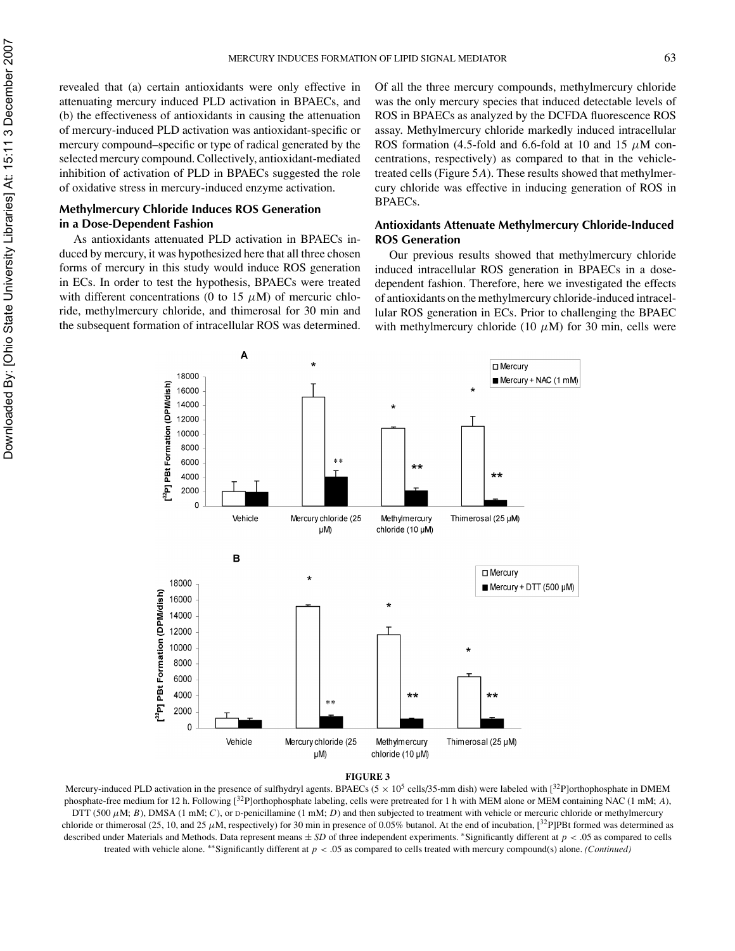revealed that (a) certain antioxidants were only effective in attenuating mercury induced PLD activation in BPAECs, and (b) the effectiveness of antioxidants in causing the attenuation of mercury-induced PLD activation was antioxidant-specific or mercury compound–specific or type of radical generated by the selected mercury compound.Collectively, antioxidant-mediated inhibition of activation of PLD in BPAECs suggested the role of oxidative stress in mercury-induced enzyme activation.

## **Methylmercury Chloride Induces ROS Generation in a Dose-Dependent Fashion**

As antioxidants attenuated PLD activation in BPAECs induced by mercury, it was hypothesized here that all three chosen forms of mercury in this study would induce ROS generation in ECs. In order to test the hypothesis, BPAECs were treated with different concentrations (0 to 15  $\mu$ M) of mercuric chloride, methylmercury chloride, and thimerosal for 30 min and the subsequent formation of intracellular ROS was determined.

Of all the three mercury compounds, methylmercury chloride was the only mercury species that induced detectable levels of ROS in BPAECs as analyzed by the DCFDA fluorescence ROS assay. Methylmercury chloride markedly induced intracellular ROS formation (4.5-fold and 6.6-fold at 10 and 15  $\mu$ M concentrations, respectively) as compared to that in the vehicletreated cells (Figure 5*A*). These results showed that methylmercury chloride was effective in inducing generation of ROS in BPAECs.

## **Antioxidants Attenuate Methylmercury Chloride-Induced ROS Generation**

Our previous results showed that methylmercury chloride induced intracellular ROS generation in BPAECs in a dosedependent fashion. Therefore, here we investigated the effects of antioxidants on the methylmercury chloride-induced intracellular ROS generation in ECs. Prior to challenging the BPAEC with methylmercury chloride (10  $\mu$ M) for 30 min, cells were



#### **FIGURE 3**

Mercury-induced PLD activation in the presence of sulfhydryl agents. BPAECs ( $5 \times 10^5$  cells/35-mm dish) were labeled with  $[^{32}P]$ orthophosphate in DMEM phosphate-free medium for 12 h. Following [<sup>32</sup>P]orthophosphate labeling, cells were pretreated for 1 h with MEM alone or MEM containing NAC (1 mM; *A*), DTT (500  $\mu$ M; *B*), DMSA (1 mM; *C*), or D-penicillamine (1 mM; *D*) and then subjected to treatment with vehicle or mercuric chloride or methylmercury chloride or thimerosal (25, 10, and 25  $\mu$ M, respectively) for 30 min in presence of 0.05% butanol. At the end of incubation,  $[^{32}P]$ PBt formed was determined as described under Materials and Methods. Data represent means ± *SD* of three independent experiments. <sup>∗</sup>Significantly different at *p* < .05 as compared to cells treated with vehicle alone. ∗∗Significantly different at *p* < .05 as compared to cells treated with mercury compound(s) alone. *(Continued)*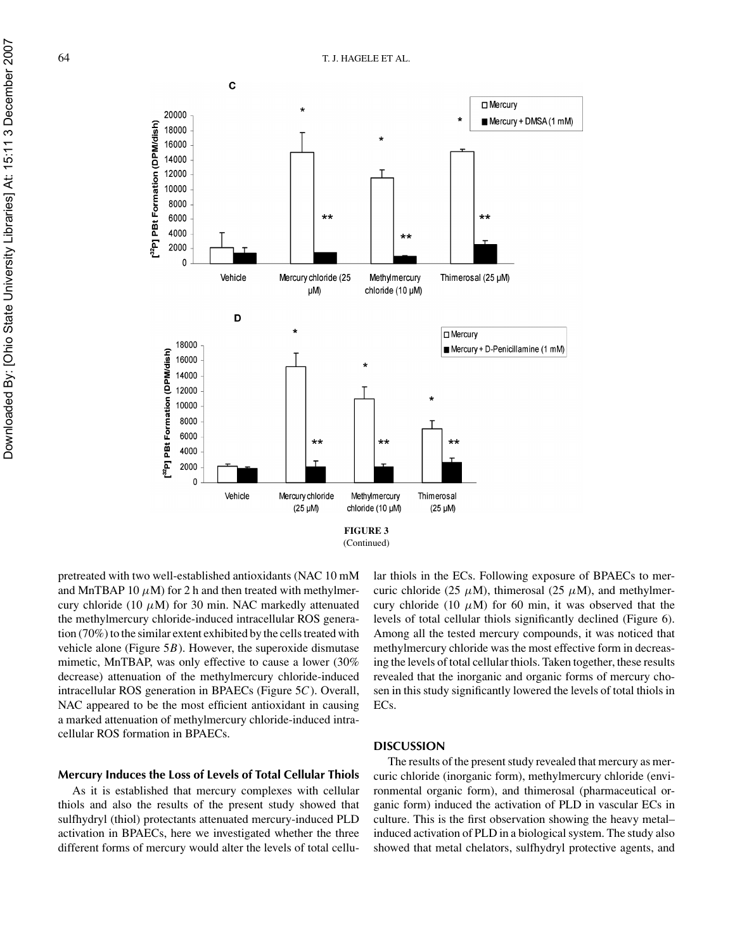

pretreated with two well-established antioxidants (NAC 10 mM and MnTBAP 10  $\mu$ M) for 2 h and then treated with methylmercury chloride (10  $\mu$ M) for 30 min. NAC markedly attenuated the methylmercury chloride-induced intracellular ROS generation  $(70\%)$  to the similar extent exhibited by the cells treated with vehicle alone (Figure 5*B*). However, the superoxide dismutase mimetic, MnTBAP, was only effective to cause a lower (30% decrease) attenuation of the methylmercury chloride-induced intracellular ROS generation in BPAECs (Figure 5*C*). Overall, NAC appeared to be the most efficient antioxidant in causing a marked attenuation of methylmercury chloride-induced intracellular ROS formation in BPAECs.

#### **Mercury Induces the Loss of Levels of Total Cellular Thiols**

As it is established that mercury complexes with cellular thiols and also the results of the present study showed that sulfhydryl (thiol) protectants attenuated mercury-induced PLD activation in BPAECs, here we investigated whether the three different forms of mercury would alter the levels of total cellu-

lar thiols in the ECs. Following exposure of BPAECs to mercuric chloride (25  $\mu$ M), thimerosal (25  $\mu$ M), and methylmercury chloride (10  $\mu$ M) for 60 min, it was observed that the levels of total cellular thiols significantly declined (Figure 6). Among all the tested mercury compounds, it was noticed that methylmercury chloride was the most effective form in decreasing the levels of total cellular thiols. Taken together, these results revealed that the inorganic and organic forms of mercury chosen in this study significantly lowered the levels of total thiols in ECs.

## **DISCUSSION**

The results of the present study revealed that mercury as mercuric chloride (inorganic form), methylmercury chloride (environmental organic form), and thimerosal (pharmaceutical organic form) induced the activation of PLD in vascular ECs in culture. This is the first observation showing the heavy metal– induced activation of PLD in a biological system. The study also showed that metal chelators, sulfhydryl protective agents, and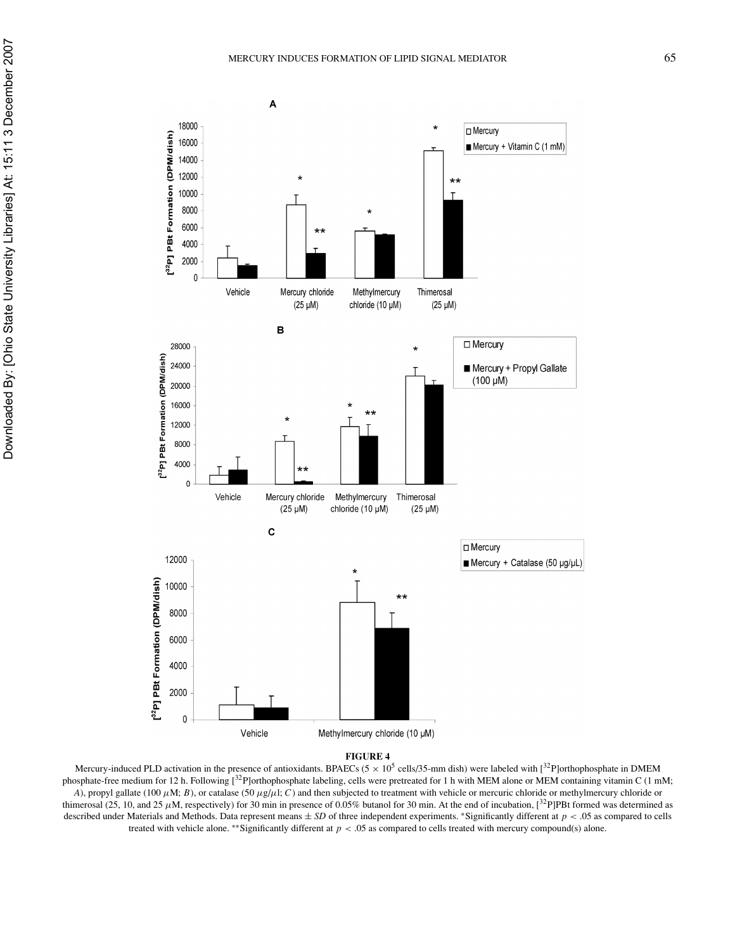

**FIGURE 4**

Mercury-induced PLD activation in the presence of antioxidants. BPAECs ( $5 \times 10^5$  cells/35-mm dish) were labeled with  $[^{32}P]$ orthophosphate in DMEM phosphate-free medium for 12 h. Following  $[^{32}P]$ orthophosphate labeling, cells were pretreated for 1 h with MEM alone or MEM containing vitamin C (1 mM; *A*), propyl gallate (100  $\mu$ M; *B*), or catalase (50  $\mu$ g/ $\mu$ l; *C*) and then subjected to treatment with vehicle or mercuric chloride or methylmercury chloride or thimerosal (25, 10, and 25  $\mu$ M, respectively) for 30 min in presence of 0.05% butanol for 30 min. At the end of incubation,  $[^{32}P]$ PBt formed was determined as described under Materials and Methods. Data represent means ± *SD* of three independent experiments. <sup>∗</sup>Significantly different at *p* < .05 as compared to cells treated with vehicle alone. ∗∗Significantly different at *p* < .05 as compared to cells treated with mercury compound(s) alone.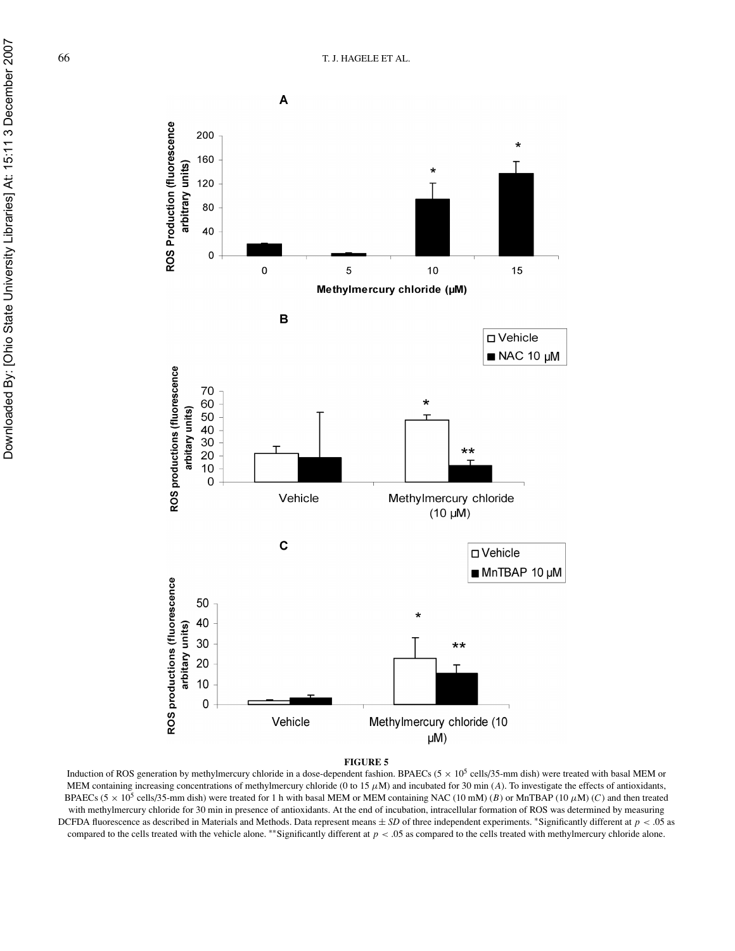

**FIGURE 5**

Induction of ROS generation by methylmercury chloride in a dose-dependent fashion. BPAECs ( $5 \times 10^5$  cells/35-mm dish) were treated with basal MEM or MEM containing increasing concentrations of methylmercury chloride (0 to 15  $\mu$ M) and incubated for 30 min (*A*). To investigate the effects of antioxidants, BPAECs (5  $\times$  10<sup>5</sup> cells/35-mm dish) were treated for 1 h with basal MEM or MEM containing NAC (10 mM) (*B*) or MnTBAP (10  $\mu$ M) (*C*) and then treated with methylmercury chloride for 30 min in presence of antioxidants. At the end of incubation, intracellular formation of ROS was determined by measuring DCFDA fluorescence as described in Materials and Methods. Data represent means ± *SD* of three independent experiments. <sup>∗</sup>Significantly different at *p* < .05 as compared to the cells treated with the vehicle alone. \*\*Significantly different at *p* < .05 as compared to the cells treated with methylmercury chloride alone.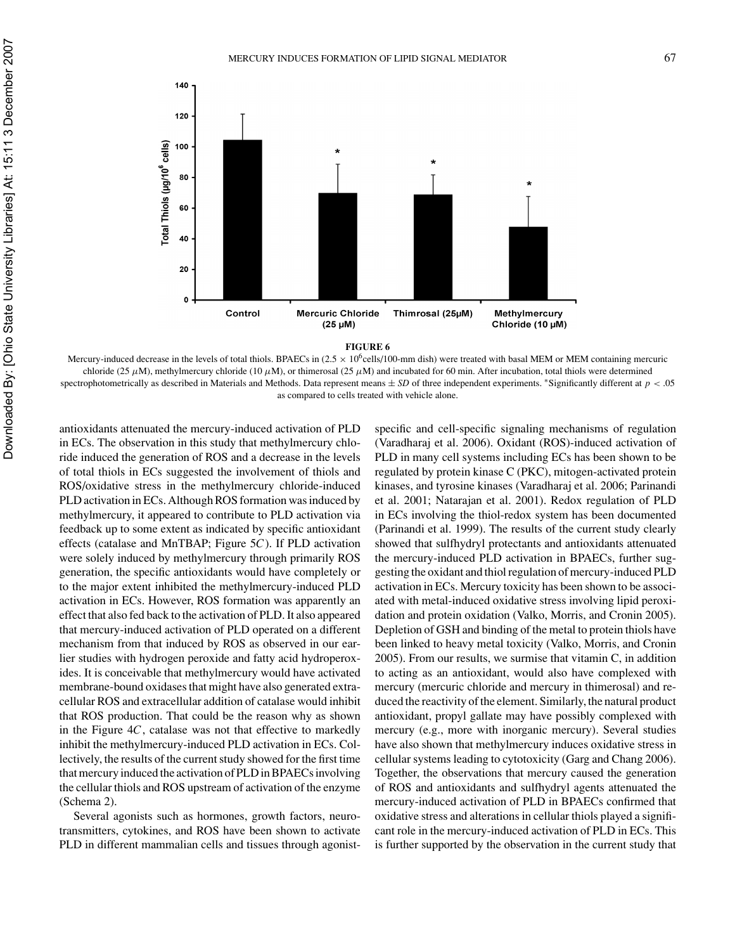

Mercury-induced decrease in the levels of total thiols. BPAECs in  $(2.5 \times 10^6$  cells/100-mm dish) were treated with basal MEM or MEM containing mercuric chloride (25  $\mu$ M), methylmercury chloride (10  $\mu$ M), or thimerosal (25  $\mu$ M) and incubated for 60 min. After incubation, total thiols were determined spectrophotometrically as described in Materials and Methods. Data represent means ± *SD* of three independent experiments. <sup>∗</sup>Significantly different at *p* < .05 as compared to cells treated with vehicle alone.

antioxidants attenuated the mercury-induced activation of PLD in ECs. The observation in this study that methylmercury chloride induced the generation of ROS and a decrease in the levels of total thiols in ECs suggested the involvement of thiols and ROS/oxidative stress in the methylmercury chloride-induced PLD activation in ECs. Although ROS formation was induced by methylmercury, it appeared to contribute to PLD activation via feedback up to some extent as indicated by specific antioxidant effects (catalase and MnTBAP; Figure 5*C*). If PLD activation were solely induced by methylmercury through primarily ROS generation, the specific antioxidants would have completely or to the major extent inhibited the methylmercury-induced PLD activation in ECs. However, ROS formation was apparently an effect that also fed back to the activation of PLD.It also appeared that mercury-induced activation of PLD operated on a different mechanism from that induced by ROS as observed in our earlier studies with hydrogen peroxide and fatty acid hydroperoxides. It is conceivable that methylmercury would have activated membrane-bound oxidases that might have also generated extracellular ROS and extracellular addition of catalase would inhibit that ROS production. That could be the reason why as shown in the Figure 4*C*, catalase was not that effective to markedly inhibit the methylmercury-induced PLD activation in ECs. Collectively, the results of the current study showed for the first time that mercury induced the activation of PLD in BPAECs involving the cellular thiols and ROS upstream of activation of the enzyme (Schema 2).

Several agonists such as hormones, growth factors, neurotransmitters, cytokines, and ROS have been shown to activate PLD in different mammalian cells and tissues through agonistspecific and cell-specific signaling mechanisms of regulation (Varadharaj et al. 2006). Oxidant (ROS)-induced activation of PLD in many cell systems including ECs has been shown to be regulated by protein kinase C (PKC), mitogen-activated protein kinases, and tyrosine kinases (Varadharaj et al. 2006; Parinandi et al. 2001; Natarajan et al. 2001). Redox regulation of PLD in ECs involving the thiol-redox system has been documented (Parinandi et al. 1999). The results of the current study clearly showed that sulfhydryl protectants and antioxidants attenuated the mercury-induced PLD activation in BPAECs, further suggesting the oxidant and thiol regulation of mercury-induced PLD activation in ECs. Mercury toxicity has been shown to be associated with metal-induced oxidative stress involving lipid peroxidation and protein oxidation (Valko, Morris, and Cronin 2005). Depletion of GSH and binding of the metal to protein thiols have been linked to heavy metal toxicity (Valko, Morris, and Cronin 2005). From our results, we surmise that vitamin C, in addition to acting as an antioxidant, would also have complexed with mercury (mercuric chloride and mercury in thimerosal) and reduced the reactivity of the element. Similarly, the natural product antioxidant, propyl gallate may have possibly complexed with mercury (e.g., more with inorganic mercury). Several studies have also shown that methylmercury induces oxidative stress in cellular systems leading to cytotoxicity (Garg and Chang 2006). Together, the observations that mercury caused the generation of ROS and antioxidants and sulfhydryl agents attenuated the mercury-induced activation of PLD in BPAECs confirmed that oxidative stress and alterations in cellular thiols played a significant role in the mercury-induced activation of PLD in ECs. This is further supported by the observation in the current study that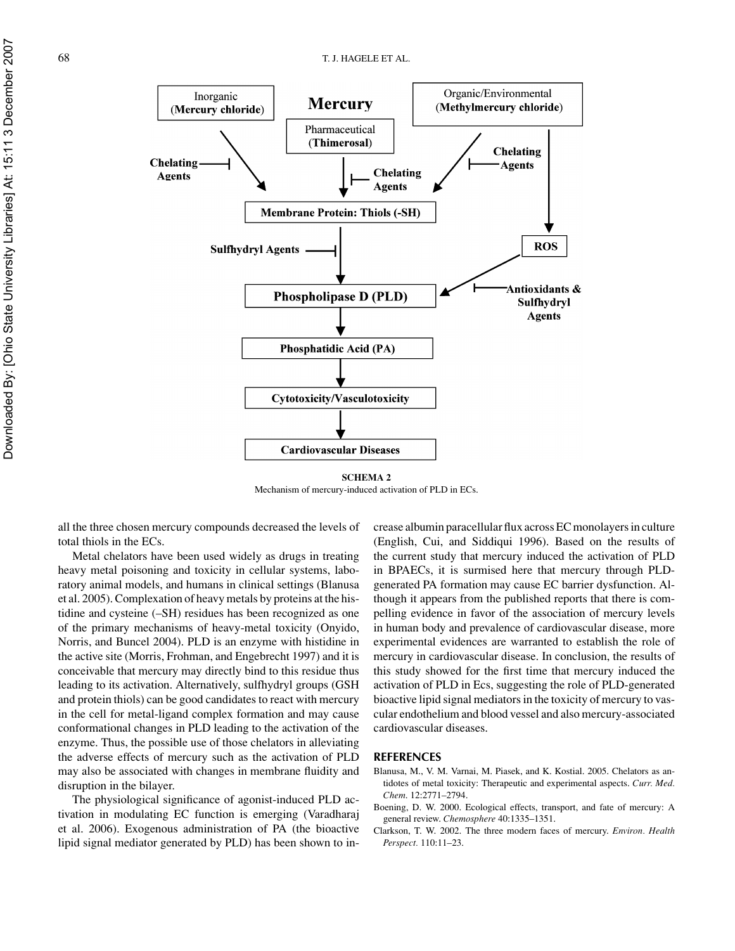

Mechanism of mercury-induced activation of PLD in ECs.

all the three chosen mercury compounds decreased the levels of total thiols in the ECs.

Metal chelators have been used widely as drugs in treating heavy metal poisoning and toxicity in cellular systems, laboratory animal models, and humans in clinical settings (Blanusa et al. 2005).Complexation of heavy metals by proteins at the histidine and cysteine (–SH) residues has been recognized as one of the primary mechanisms of heavy-metal toxicity (Onyido, Norris, and Buncel 2004). PLD is an enzyme with histidine in the active site (Morris, Frohman, and Engebrecht 1997) and it is conceivable that mercury may directly bind to this residue thus leading to its activation. Alternatively, sulfhydryl groups (GSH and protein thiols) can be good candidates to react with mercury in the cell for metal-ligand complex formation and may cause conformational changes in PLD leading to the activation of the enzyme. Thus, the possible use of those chelators in alleviating the adverse effects of mercury such as the activation of PLD may also be associated with changes in membrane fluidity and disruption in the bilayer.

The physiological significance of agonist-induced PLD activation in modulating EC function is emerging (Varadharaj et al. 2006). Exogenous administration of PA (the bioactive lipid signal mediator generated by PLD) has been shown to increase albumin paracellular flux across EC monolayers in culture (English, Cui, and Siddiqui 1996). Based on the results of the current study that mercury induced the activation of PLD in BPAECs, it is surmised here that mercury through PLDgenerated PA formation may cause EC barrier dysfunction. Although it appears from the published reports that there is compelling evidence in favor of the association of mercury levels in human body and prevalence of cardiovascular disease, more experimental evidences are warranted to establish the role of mercury in cardiovascular disease. In conclusion, the results of this study showed for the first time that mercury induced the activation of PLD in Ecs, suggesting the role of PLD-generated bioactive lipid signal mediators in the toxicity of mercury to vascular endothelium and blood vessel and also mercury-associated cardiovascular diseases.

#### **REFERENCES**

- Blanusa, M., V. M. Varnai, M. Piasek, and K. Kostial. 2005. Chelators as antidotes of metal toxicity: Therapeutic and experimental aspects. *Curr. Med. Chem*. 12:2771–2794.
- Boening, D. W. 2000. Ecological effects, transport, and fate of mercury: A general review. *Chemosphere* 40:1335–1351.
- Clarkson, T. W. 2002. The three modern faces of mercury. *Environ. Health Perspect.* 110:11–23.